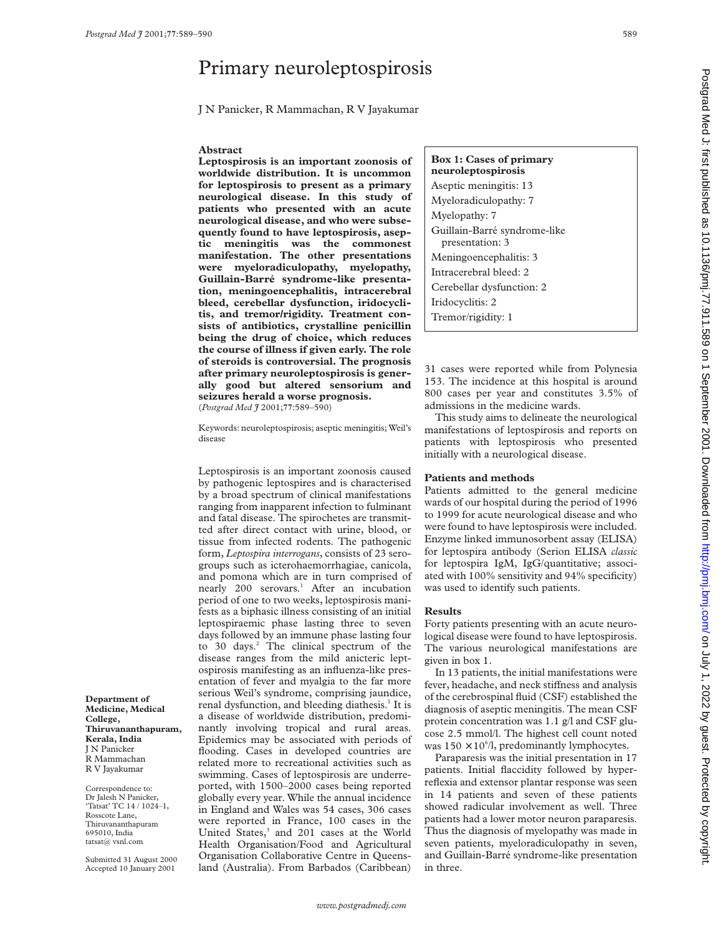# Primary neuroleptospirosis

J N Panicker, R Mammachan, R V Jayakumar

### **Abstract**

**Leptospirosis is an important zoonosis of worldwide distribution. It is uncommon for leptospirosis to present as a primary neurological disease. In this study of patients who presented with an acute neurological disease, and who were subsequently found to have leptospirosis, aseptic meningitis was the commonest manifestation. The other presentations were myeloradiculopathy, myelopathy, Guillain-Barré syndrome-like presentation, meningoencephalitis, intracerebral bleed, cerebellar dysfunction, iridocyclitis, and tremor/rigidity. Treatment consists of antibiotics, crystalline penicillin being the drug of choice, which reduces the course of illness if given early. The role of steroids is controversial. The prognosis after primary neuroleptospirosis is generally good but altered sensorium and seizures herald a worse prognosis.** (*Postgrad Med J* 2001;**77**:589–590)

Keywords: neuroleptospirosis; aseptic meningitis; Weil's disease

Leptospirosis is an important zoonosis caused by pathogenic leptospires and is characterised by a broad spectrum of clinical manifestations ranging from inapparent infection to fulminant and fatal disease. The spirochetes are transmitted after direct contact with urine, blood, or tissue from infected rodents. The pathogenic form, *Leptospira interrogans*, consists of 23 serogroups such as icterohaemorrhagiae, canicola, and pomona which are in turn comprised of nearly 200 serovars.<sup>1</sup> After an incubation period of one to two weeks, leptospirosis manifests as a biphasic illness consisting of an initial leptospiraemic phase lasting three to seven days followed by an immune phase lasting four to 30 days.<sup>2</sup> The clinical spectrum of the disease ranges from the mild anicteric leptospirosis manifesting as an influenza-like presentation of fever and myalgia to the far more serious Weil's syndrome, comprising jaundice, renal dysfunction, and bleeding diathesis.<sup>1</sup> It is a disease of worldwide distribution, predominantly involving tropical and rural areas. Epidemics may be associated with periods of flooding. Cases in developed countries are related more to recreational activities such as swimming. Cases of leptospirosis are underreported, with 1500–2000 cases being reported globally every year. While the annual incidence in England and Wales was 54 cases, 306 cases were reported in France, 100 cases in the United States,<sup>3</sup> and 201 cases at the World Health Organisation/Food and Agricultural Organisation Collaborative Centre in Queensland (Australia). From Barbados (Caribbean)

**Box 1: Cases of primary neuroleptospirosis** Aseptic meningitis: 13 Myeloradiculopathy: 7 Myelopathy: 7 Guillain-Barré syndrome-like presentation: 3 Meningoencephalitis: 3 Intracerebral bleed: 2 Cerebellar dysfunction: 2 Iridocyclitis: 2 Tremor/rigidity: 1

31 cases were reported while from Polynesia 153. The incidence at this hospital is around 800 cases per year and constitutes 3.5% of admissions in the medicine wards.

This study aims to delineate the neurological manifestations of leptospirosis and reports on patients with leptospirosis who presented initially with a neurological disease.

# **Patients and methods**

Patients admitted to the general medicine wards of our hospital during the period of 1996 to 1999 for acute neurological disease and who were found to have leptospirosis were included. Enzyme linked immunosorbent assay (ELISA) for leptospira antibody (Serion ELISA *classic* for leptospira IgM, IgG/quantitative; associated with 100% sensitivity and 94% specificity) was used to identify such patients.

### **Results**

Forty patients presenting with an acute neurological disease were found to have leptospirosis. The various neurological manifestations are given in box 1.

In 13 patients, the initial manifestations were fever, headache, and neck stiffness and analysis of the cerebrospinal fluid (CSF) established the diagnosis of aseptic meningitis. The mean CSF protein concentration was 1.1 g/l and CSF glucose 2.5 mmol/l. The highest cell count noted was  $150 \times 10^{6}/l$ , predominantly lymphocytes.

Paraparesis was the initial presentation in 17 patients. Initial flaccidity followed by hyperreflexia and extensor plantar response was seen in 14 patients and seven of these patients showed radicular involvement as well. Three patients had a lower motor neuron paraparesis. Thus the diagnosis of myelopathy was made in seven patients, myeloradiculopathy in seven, and Guillain-Barré syndrome-like presentation in three.

**Department of Medicine, Medical College, Thiruvananthapuram, Kerala, India** J N Panicker R Mammachan R V Jayakumar

Correspondence to: Dr Jalesh N Panicker, 'Tatsat' TC 14 / 1024–1, Rosscote Lane, Thiruvananthapuram 695010, India tatsat@ vsnl.com

Submitted 31 August 2000 Accepted 10 January 2001